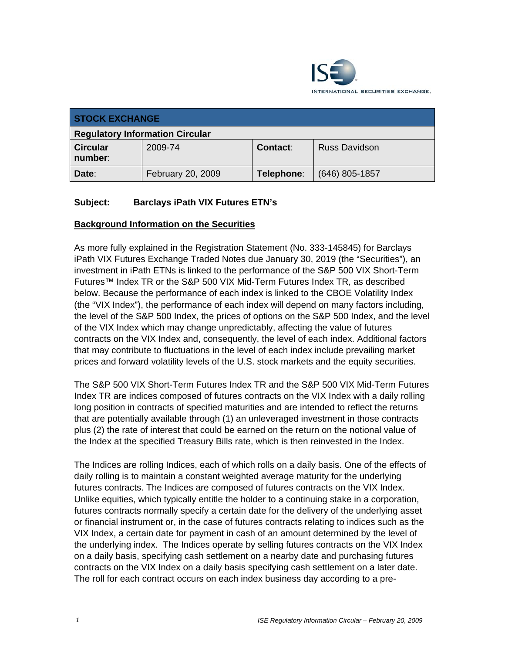

| <b>STOCK EXCHANGE</b>                  |                   |                 |                      |  |
|----------------------------------------|-------------------|-----------------|----------------------|--|
| <b>Regulatory Information Circular</b> |                   |                 |                      |  |
| <b>Circular</b><br>number:             | 2009-74           | <b>Contact:</b> | <b>Russ Davidson</b> |  |
| Date:                                  | February 20, 2009 | Telephone:      | $(646)$ 805-1857     |  |

### **Subject: Barclays iPath VIX Futures ETN's**

### **Background Information on the Securities**

As more fully explained in the Registration Statement (No. 333-145845) for Barclays iPath VIX Futures Exchange Traded Notes due January 30, 2019 (the "Securities"), an investment in iPath ETNs is linked to the performance of the S&P 500 VIX Short-Term Futures™ Index TR or the S&P 500 VIX Mid-Term Futures Index TR, as described below. Because the performance of each index is linked to the CBOE Volatility Index (the "VIX Index"), the performance of each index will depend on many factors including, the level of the S&P 500 Index, the prices of options on the S&P 500 Index, and the level of the VIX Index which may change unpredictably, affecting the value of futures contracts on the VIX Index and, consequently, the level of each index. Additional factors that may contribute to fluctuations in the level of each index include prevailing market prices and forward volatility levels of the U.S. stock markets and the equity securities.

The S&P 500 VIX Short-Term Futures Index TR and the S&P 500 VIX Mid-Term Futures Index TR are indices composed of futures contracts on the VIX Index with a daily rolling long position in contracts of specified maturities and are intended to reflect the returns that are potentially available through (1) an unleveraged investment in those contracts plus (2) the rate of interest that could be earned on the return on the notional value of the Index at the specified Treasury Bills rate, which is then reinvested in the Index.

The Indices are rolling Indices, each of which rolls on a daily basis. One of the effects of daily rolling is to maintain a constant weighted average maturity for the underlying futures contracts. The Indices are composed of futures contracts on the VIX Index. Unlike equities, which typically entitle the holder to a continuing stake in a corporation, futures contracts normally specify a certain date for the delivery of the underlying asset or financial instrument or, in the case of futures contracts relating to indices such as the VIX Index, a certain date for payment in cash of an amount determined by the level of the underlying index. The Indices operate by selling futures contracts on the VIX Index on a daily basis, specifying cash settlement on a nearby date and purchasing futures contracts on the VIX Index on a daily basis specifying cash settlement on a later date. The roll for each contract occurs on each index business day according to a pre-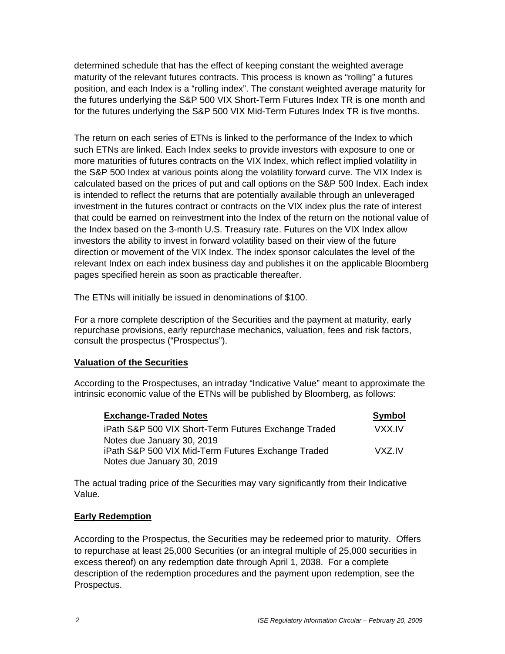determined schedule that has the effect of keeping constant the weighted average maturity of the relevant futures contracts. This process is known as "rolling" a futures position, and each Index is a "rolling index". The constant weighted average maturity for the futures underlying the S&P 500 VIX Short-Term Futures Index TR is one month and for the futures underlying the S&P 500 VIX Mid-Term Futures Index TR is five months.

The return on each series of ETNs is linked to the performance of the Index to which such ETNs are linked. Each Index seeks to provide investors with exposure to one or more maturities of futures contracts on the VIX Index, which reflect implied volatility in the S&P 500 Index at various points along the volatility forward curve. The VIX Index is calculated based on the prices of put and call options on the S&P 500 Index. Each index is intended to reflect the returns that are potentially available through an unleveraged investment in the futures contract or contracts on the VIX index plus the rate of interest that could be earned on reinvestment into the Index of the return on the notional value of the Index based on the 3-month U.S. Treasury rate. Futures on the VIX Index allow investors the ability to invest in forward volatility based on their view of the future direction or movement of the VIX Index. The index sponsor calculates the level of the relevant Index on each index business day and publishes it on the applicable Bloomberg pages specified herein as soon as practicable thereafter.

The ETNs will initially be issued in denominations of \$100.

For a more complete description of the Securities and the payment at maturity, early repurchase provisions, early repurchase mechanics, valuation, fees and risk factors, consult the prospectus ("Prospectus").

#### **Valuation of the Securities**

According to the Prospectuses, an intraday "Indicative Value" meant to approximate the intrinsic economic value of the ETNs will be published by Bloomberg, as follows:

| <b>Exchange-Traded Notes</b>                         | <b>Symbol</b> |
|------------------------------------------------------|---------------|
| iPath S&P 500 VIX Short-Term Futures Exchange Traded | VXX IV        |
| Notes due January 30, 2019                           |               |
| iPath S&P 500 VIX Mid-Term Futures Exchange Traded   | VXZ.IV        |
| Notes due January 30, 2019                           |               |

The actual trading price of the Securities may vary significantly from their Indicative Value.

#### **Early Redemption**

According to the Prospectus, the Securities may be redeemed prior to maturity. Offers to repurchase at least 25,000 Securities (or an integral multiple of 25,000 securities in excess thereof) on any redemption date through April 1, 2038. For a complete description of the redemption procedures and the payment upon redemption, see the Prospectus.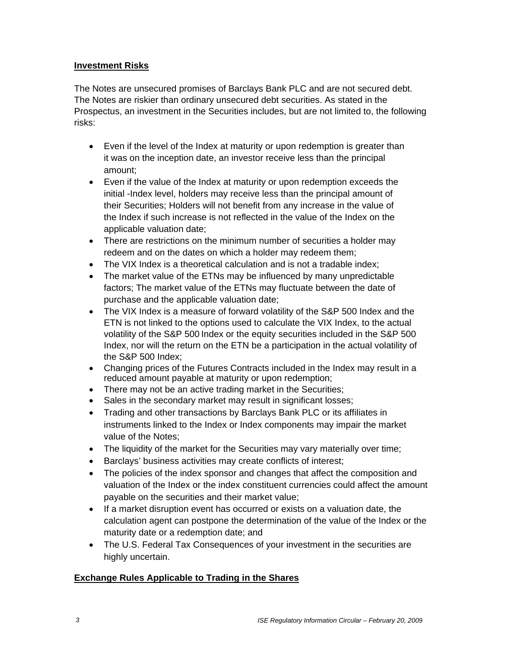#### **Investment Risks**

The Notes are unsecured promises of Barclays Bank PLC and are not secured debt. The Notes are riskier than ordinary unsecured debt securities. As stated in the Prospectus, an investment in the Securities includes, but are not limited to, the following risks:

- Even if the level of the Index at maturity or upon redemption is greater than it was on the inception date, an investor receive less than the principal amount;
- Even if the value of the Index at maturity or upon redemption exceeds the initial -Index level, holders may receive less than the principal amount of their Securities; Holders will not benefit from any increase in the value of the Index if such increase is not reflected in the value of the Index on the applicable valuation date;
- There are restrictions on the minimum number of securities a holder may redeem and on the dates on which a holder may redeem them;
- The VIX Index is a theoretical calculation and is not a tradable index:
- The market value of the ETNs may be influenced by many unpredictable factors; The market value of the ETNs may fluctuate between the date of purchase and the applicable valuation date;
- The VIX Index is a measure of forward volatility of the S&P 500 Index and the ETN is not linked to the options used to calculate the VIX Index, to the actual volatility of the S&P 500 Index or the equity securities included in the S&P 500 Index, nor will the return on the ETN be a participation in the actual volatility of the S&P 500 Index;
- Changing prices of the Futures Contracts included in the Index may result in a reduced amount payable at maturity or upon redemption;
- There may not be an active trading market in the Securities;
- Sales in the secondary market may result in significant losses;
- Trading and other transactions by Barclays Bank PLC or its affiliates in instruments linked to the Index or Index components may impair the market value of the Notes;
- The liquidity of the market for the Securities may vary materially over time;
- Barclays' business activities may create conflicts of interest;
- The policies of the index sponsor and changes that affect the composition and valuation of the Index or the index constituent currencies could affect the amount payable on the securities and their market value;
- If a market disruption event has occurred or exists on a valuation date, the calculation agent can postpone the determination of the value of the Index or the maturity date or a redemption date; and
- The U.S. Federal Tax Consequences of your investment in the securities are highly uncertain.

## **Exchange Rules Applicable to Trading in the Shares**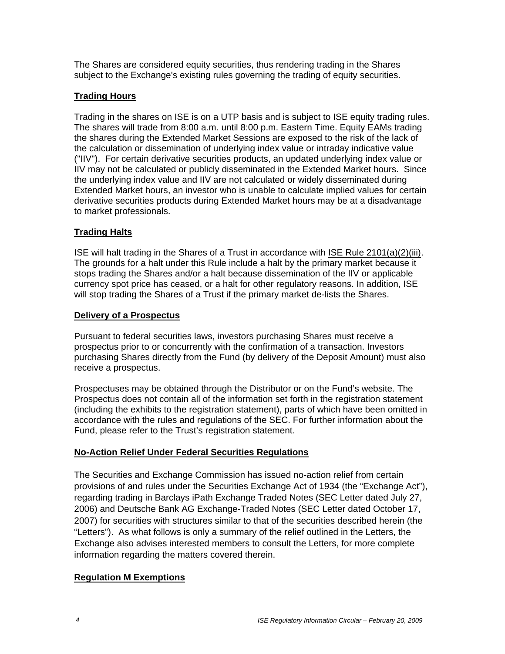The Shares are considered equity securities, thus rendering trading in the Shares subject to the Exchange's existing rules governing the trading of equity securities.

## **Trading Hours**

Trading in the shares on ISE is on a UTP basis and is subject to ISE equity trading rules. The shares will trade from 8:00 a.m. until 8:00 p.m. Eastern Time. Equity EAMs trading the shares during the Extended Market Sessions are exposed to the risk of the lack of the calculation or dissemination of underlying index value or intraday indicative value ("IIV"). For certain derivative securities products, an updated underlying index value or IIV may not be calculated or publicly disseminated in the Extended Market hours. Since the underlying index value and IIV are not calculated or widely disseminated during Extended Market hours, an investor who is unable to calculate implied values for certain derivative securities products during Extended Market hours may be at a disadvantage to market professionals.

## **Trading Halts**

ISE will halt trading in the Shares of a Trust in accordance with ISE Rule 2101(a)(2)(iii). The grounds for a halt under this Rule include a halt by the primary market because it stops trading the Shares and/or a halt because dissemination of the IIV or applicable currency spot price has ceased, or a halt for other regulatory reasons. In addition, ISE will stop trading the Shares of a Trust if the primary market de-lists the Shares.

## **Delivery of a Prospectus**

Pursuant to federal securities laws, investors purchasing Shares must receive a prospectus prior to or concurrently with the confirmation of a transaction. Investors purchasing Shares directly from the Fund (by delivery of the Deposit Amount) must also receive a prospectus.

Prospectuses may be obtained through the Distributor or on the Fund's website. The Prospectus does not contain all of the information set forth in the registration statement (including the exhibits to the registration statement), parts of which have been omitted in accordance with the rules and regulations of the SEC. For further information about the Fund, please refer to the Trust's registration statement.

# **No-Action Relief Under Federal Securities Regulations**

The Securities and Exchange Commission has issued no-action relief from certain provisions of and rules under the Securities Exchange Act of 1934 (the "Exchange Act"), regarding trading in Barclays iPath Exchange Traded Notes (SEC Letter dated July 27, 2006) and Deutsche Bank AG Exchange-Traded Notes (SEC Letter dated October 17, 2007) for securities with structures similar to that of the securities described herein (the "Letters"). As what follows is only a summary of the relief outlined in the Letters, the Exchange also advises interested members to consult the Letters, for more complete information regarding the matters covered therein.

## **Regulation M Exemptions**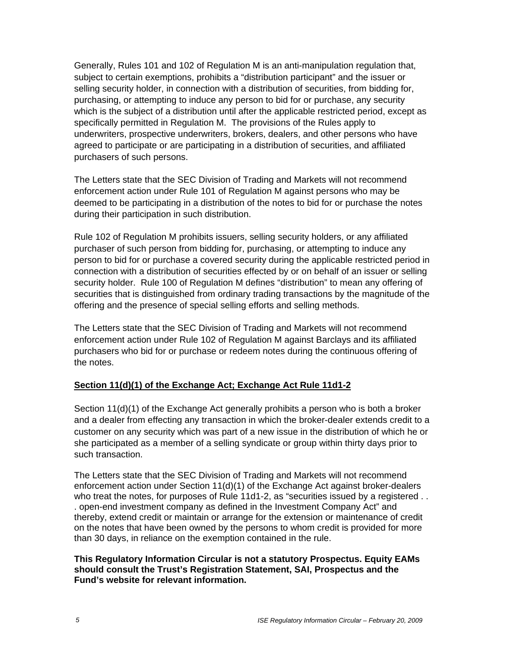Generally, Rules 101 and 102 of Regulation M is an anti-manipulation regulation that, subject to certain exemptions, prohibits a "distribution participant" and the issuer or selling security holder, in connection with a distribution of securities, from bidding for, purchasing, or attempting to induce any person to bid for or purchase, any security which is the subject of a distribution until after the applicable restricted period, except as specifically permitted in Regulation M. The provisions of the Rules apply to underwriters, prospective underwriters, brokers, dealers, and other persons who have agreed to participate or are participating in a distribution of securities, and affiliated purchasers of such persons.

The Letters state that the SEC Division of Trading and Markets will not recommend enforcement action under Rule 101 of Regulation M against persons who may be deemed to be participating in a distribution of the notes to bid for or purchase the notes during their participation in such distribution.

Rule 102 of Regulation M prohibits issuers, selling security holders, or any affiliated purchaser of such person from bidding for, purchasing, or attempting to induce any person to bid for or purchase a covered security during the applicable restricted period in connection with a distribution of securities effected by or on behalf of an issuer or selling security holder. Rule 100 of Regulation M defines "distribution" to mean any offering of securities that is distinguished from ordinary trading transactions by the magnitude of the offering and the presence of special selling efforts and selling methods.

The Letters state that the SEC Division of Trading and Markets will not recommend enforcement action under Rule 102 of Regulation M against Barclays and its affiliated purchasers who bid for or purchase or redeem notes during the continuous offering of the notes.

## **Section 11(d)(1) of the Exchange Act; Exchange Act Rule 11d1-2**

Section 11(d)(1) of the Exchange Act generally prohibits a person who is both a broker and a dealer from effecting any transaction in which the broker-dealer extends credit to a customer on any security which was part of a new issue in the distribution of which he or she participated as a member of a selling syndicate or group within thirty days prior to such transaction.

The Letters state that the SEC Division of Trading and Markets will not recommend enforcement action under Section 11(d)(1) of the Exchange Act against broker-dealers who treat the notes, for purposes of Rule 11d1-2, as "securities issued by a registered . . . open-end investment company as defined in the Investment Company Act" and thereby, extend credit or maintain or arrange for the extension or maintenance of credit on the notes that have been owned by the persons to whom credit is provided for more than 30 days, in reliance on the exemption contained in the rule.

#### **This Regulatory Information Circular is not a statutory Prospectus. Equity EAMs should consult the Trust's Registration Statement, SAI, Prospectus and the Fund's website for relevant information.**